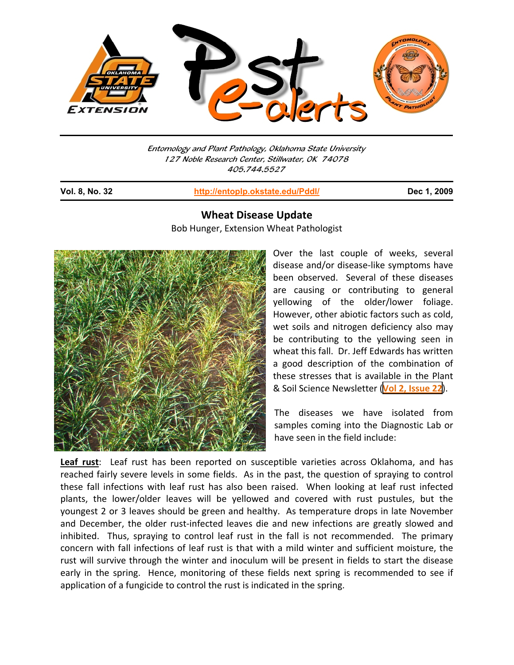

Entomology and Plant Pathology, Oklahoma State University 127 Noble Research Center, Stillwater, OK 74078 405.744.5527

j

**Vol. 8, No. 32 http://entoplp.okstate.edu/Pddl/ Dec 1, 2009**

## **Wheat Disease Update**

Bob Hunger, Extension Wheat Pathologist



Over the last couple of weeks, several disease and/or disease‐like symptoms have been observed. Several of these diseases are causing or contributing to general yellowing of the older/lower foliage. However, other abiotic factors such as cold, wet soils and nitrogen deficiency also may be contributing to the yellowing seen in wheat this fall. Dr. Jeff Edwards has written a good description of the combination of these stresses that is available in the Plant & Soil Science Newsletter (**Vol 2, [Issue](http://www.pss.okstate.edu/extension/newsletter/2009/passnewslettervol2iss22.pdf) 22**).

The diseases we have isolated from samples coming into the Diagnostic Lab or have seen in the field include:

**Leaf rust**: Leaf rust has been reported on susceptible varieties across Oklahoma, and has reached fairly severe levels in some fields. As in the past, the question of spraying to control these fall infections with leaf rust has also been raised. When looking at leaf rust infected plants, the lower/older leaves will be yellowed and covered with rust pustules, but the youngest 2 or 3 leaves should be green and healthy. As temperature drops in late November and December, the older rust-infected leaves die and new infections are greatly slowed and inhibited. Thus, spraying to control leaf rust in the fall is not recommended. The primary concern with fall infections of leaf rust is that with a mild winter and sufficient moisture, the rust will survive through the winter and inoculum will be present in fields to start the disease early in the spring. Hence, monitoring of these fields next spring is recommended to see if application of a fungicide to control the rust is indicated in the spring.